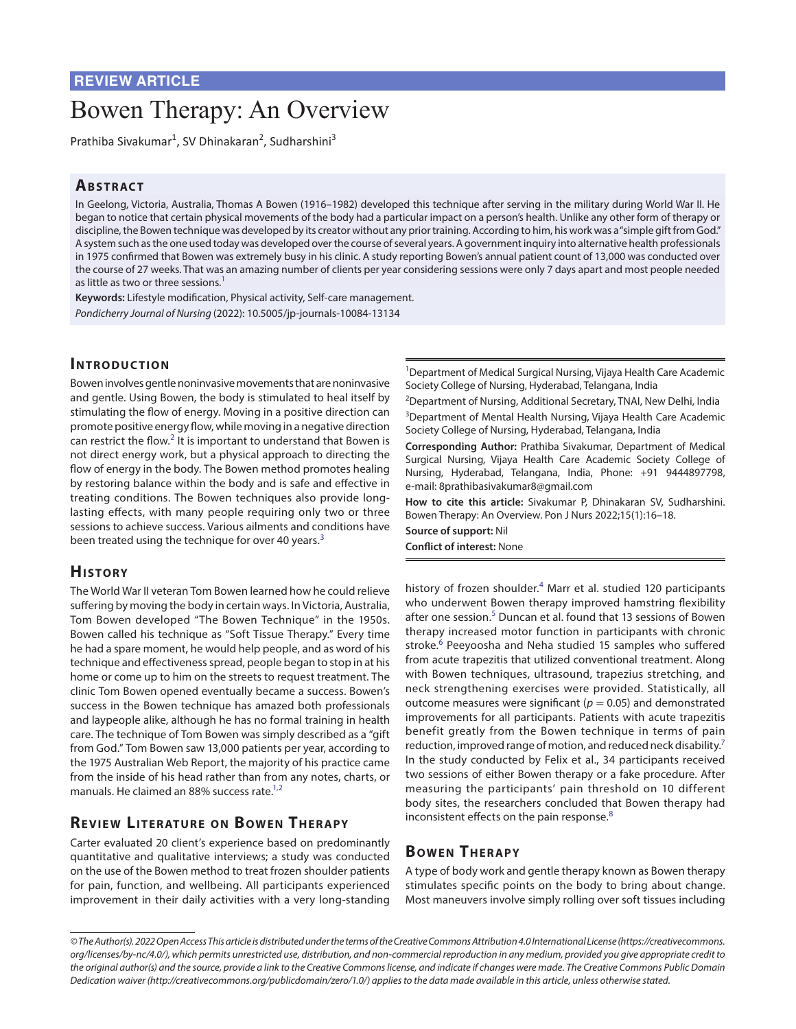# Bowen Therapy: An Overview

Prathiba Sivakumar<sup>1</sup>, SV Dhinakaran<sup>2</sup>, Sudharshini<sup>3</sup>

## **ABSTRACT**

In Geelong, Victoria, Australia, Thomas A Bowen (1916–1982) developed this technique after serving in the military during World War II. He began to notice that certain physical movements of the body had a particular impact on a person's health. Unlike any other form of therapy or discipline, the Bowen technique was developed by its creator without any prior training. According to him, his work was a "simple gift from God." A system such as the one used today was developed over the course of several years. A government inquiry into alternative health professionals in 1975 confirmed that Bowen was extremely busy in his clinic. A study reporting Bowen's annual patient count of 13,000 was conducted over the course of 27 weeks. That was an amazing number of clients per year considering sessions were only 7 days apart and most people needed as little as two or three sessions.<sup>1</sup>

**Keywords:** Lifestyle modification, Physical activity, Self-care management. *Pondicherry Journal of Nursing* (2022): 10.5005/jp-journals-10084-13134

## **INTRODUCTION**

Bowen involves gentle noninvasive movements that are noninvasive and gentle. Using Bowen, the body is stimulated to heal itself by stimulating the flow of energy. Moving in a positive direction can promote positive energy flow, while moving in a negative direction can restrict the flow.<sup>[2](#page-2-1)</sup> It is important to understand that Bowen is not direct energy work, but a physical approach to directing the flow of energy in the body. The Bowen method promotes healing by restoring balance within the body and is safe and effective in treating conditions. The Bowen techniques also provide longlasting effects, with many people requiring only two or three sessions to achieve success. Various ailments and conditions have been treated using the technique for over 40 years.<sup>[3](#page-2-2)</sup>

## **His to ry**

The World War II veteran Tom Bowen learned how he could relieve suffering by moving the body in certain ways. In Victoria, Australia, Tom Bowen developed "The Bowen Technique" in the 1950s. Bowen called his technique as "Soft Tissue Therapy." Every time he had a spare moment, he would help people, and as word of his technique and effectiveness spread, people began to stop in at his home or come up to him on the streets to request treatment. The clinic Tom Bowen opened eventually became a success. Bowen's success in the Bowen technique has amazed both professionals and laypeople alike, although he has no formal training in health care. The technique of Tom Bowen was simply described as a "gift from God." Tom Bowen saw 13,000 patients per year, according to the 1975 Australian Web Report, the majority of his practice came from the inside of his head rather than from any notes, charts, or manuals. He claimed an 88% success rate. $1,2$  $1,2$ 

## **REVIEW LITERATURE ON BOWEN THERAPY**

Carter evaluated 20 client's experience based on predominantly quantitative and qualitative interviews; a study was conducted on the use of the Bowen method to treat frozen shoulder patients for pain, function, and wellbeing. All participants experienced improvement in their daily activities with a very long-standing <sup>1</sup>Department of Medical Surgical Nursing, Vijaya Health Care Academic Society College of Nursing, Hyderabad, Telangana, India

<sup>2</sup>Department of Nursing, Additional Secretary, TNAI, New Delhi, India <sup>3</sup>Department of Mental Health Nursing, Vijaya Health Care Academic Society College of Nursing, Hyderabad, Telangana, India

**Corresponding Author:** Prathiba Sivakumar, Department of Medical Surgical Nursing, Vijaya Health Care Academic Society College of Nursing, Hyderabad, Telangana, India, Phone: +91 9444897798, e-mail: 8prathibasivakumar8@gmail.com

**How to cite this article:** Sivakumar P, Dhinakaran SV, Sudharshini. Bowen Therapy: An Overview. Pon J Nurs 2022;15(1):16–18.

**Source of support:** Nil **Conflict of interest:** None

history of frozen shoulder.<sup>[4](#page-2-3)</sup> Marr et al. studied 120 participants who underwent Bowen therapy improved hamstring flexibility after one session.<sup>[5](#page-2-4)</sup> Duncan et al. found that 13 sessions of Bowen therapy increased motor function in participants with chronic stroke.<sup>[6](#page-2-5)</sup> Peeyoosha and Neha studied 15 samples who suffered from acute trapezitis that utilized conventional treatment. Along with Bowen techniques, ultrasound, trapezius stretching, and neck strengthening exercises were provided. Statistically, all outcome measures were significant ( $p = 0.05$ ) and demonstrated improvements for all participants. Patients with acute trapezitis benefit greatly from the Bowen technique in terms of pain reduction, improved range of motion, and reduced neck disability.<sup>[7](#page-2-6)</sup> In the study conducted by Felix et al., 34 participants received two sessions of either Bowen therapy or a fake procedure. After measuring the participants' pain threshold on 10 different body sites, the researchers concluded that Bowen therapy had inconsistent effects on the pain response.<sup>[8](#page-2-7)</sup>

# **BOWEN THERAPY**

A type of body work and gentle therapy known as Bowen therapy stimulates specific points on the body to bring about change. Most maneuvers involve simply rolling over soft tissues including

*<sup>©</sup> The Author(s). 2022 Open Access This article is distributed under the terms of the Creative Commons Attribution 4.0 International License ([https://creativecommons.](https://creativecommons.org/licenses/by-nc/4.0/) [org/licenses/by-nc/4.0/](https://creativecommons.org/licenses/by-nc/4.0/)), which permits unrestricted use, distribution, and non-commercial reproduction in any medium, provided you give appropriate credit to the original author(s) and the source, provide a link to the Creative Commons license, and indicate if changes were made. The Creative Commons Public Domain Dedication waiver ([http://creativecommons.org/publicdomain/zero/1.0/\)](http://creativecommons.org/publicdomain/zero/1.0/) applies to the data made available in this article, unless otherwise stated.*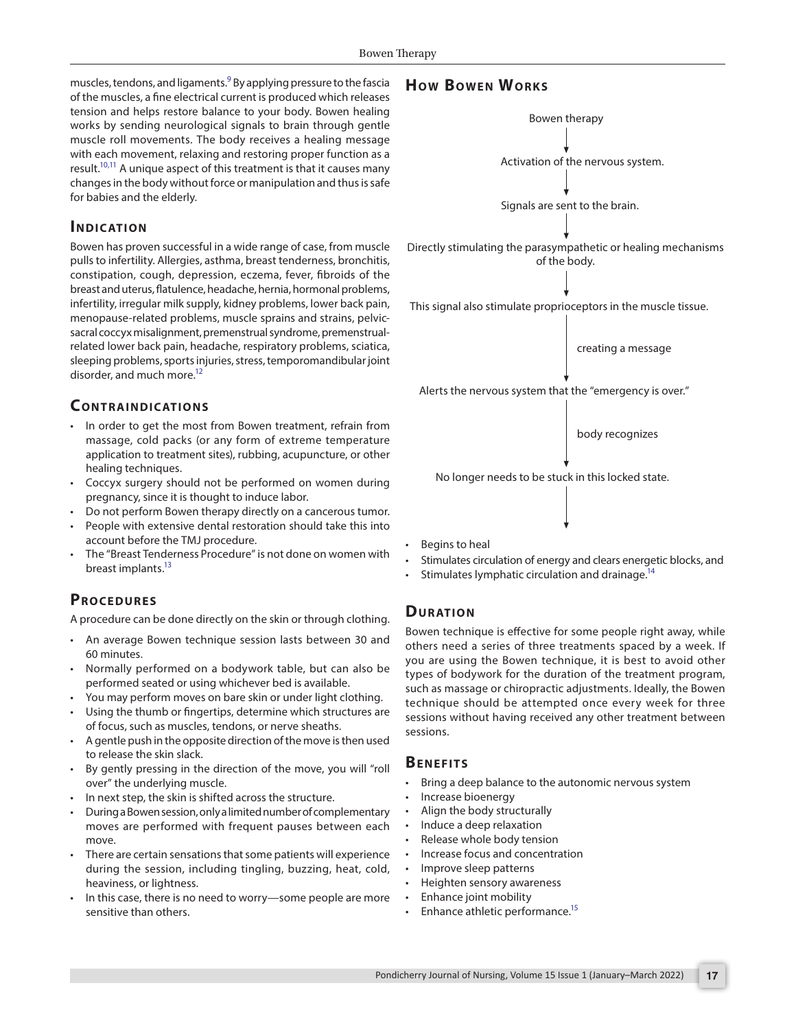muscles, tendons, and ligaments.<sup>[9](#page-2-8)</sup> By applying pressure to the fascia of the muscles, a fine electrical current is produced which releases tension and helps restore balance to your body. Bowen healing works by sending neurological signals to brain through gentle muscle roll movements. The body receives a healing message with each movement, relaxing and restoring proper function as a result.<sup>10,11</sup> A unique aspect of this treatment is that it causes many changes in the body without force or manipulation and thus is safe for babies and the elderly.

#### **INDICATION**

Bowen has proven successful in a wide range of case, from muscle pulls to infertility. Allergies, asthma, breast tenderness, bronchitis, constipation, cough, depression, eczema, fever, fibroids of the breast and uterus, flatulence, headache, hernia, hormonal problems, infertility, irregular milk supply, kidney problems, lower back pain, menopause-related problems, muscle sprains and strains, pelvicsacral coccyx misalignment, premenstrual syndrome, premenstrualrelated lower back pain, headache, respiratory problems, sciatica, sleeping problems, sports injuries, stress, temporomandibular joint disorder, and much more.<sup>12</sup>

## **CONTRAINDICATIONS**

- In order to get the most from Bowen treatment, refrain from massage, cold packs (or any form of extreme temperature application to treatment sites), rubbing, acupuncture, or other healing techniques.
- Coccyx surgery should not be performed on women during pregnancy, since it is thought to induce labor.
- Do not perform Bowen therapy directly on a cancerous tumor.
- People with extensive dental restoration should take this into account before the TMJ procedure.
- The "Breast Tenderness Procedure" is not done on women with breast implants.<sup>13</sup>

#### **PROCEDURES**

A procedure can be done directly on the skin or through clothing.

- An average Bowen technique session lasts between 30 and 60 minutes.
- Normally performed on a bodywork table, but can also be performed seated or using whichever bed is available.
- You may perform moves on bare skin or under light clothing.
- Using the thumb or fingertips, determine which structures are of focus, such as muscles, tendons, or nerve sheaths.
- A gentle push in the opposite direction of the move is then used to release the skin slack.
- By gently pressing in the direction of the move, you will "roll over" the underlying muscle.
- In next step, the skin is shifted across the structure.
- During a Bowen session, only a limited number of complementary moves are performed with frequent pauses between each move.
- There are certain sensations that some patients will experience during the session, including tingling, buzzing, heat, cold, heaviness, or lightness.
- In this case, there is no need to worry-some people are more sensitive than others.

## **HOW BOWEN WORKS**



- Begins to heal
- Stimulates circulation of energy and clears energetic blocks, and
- Stimulates lymphatic circulation and drainage.<sup>14</sup>

#### **DURATION**

Bowen technique is effective for some people right away, while others need a series of three treatments spaced by a week. If you are using the Bowen technique, it is best to avoid other types of bodywork for the duration of the treatment program, such as massage or chiropractic adjustments. Ideally, the Bowen technique should be attempted once every week for three sessions without having received any other treatment between sessions.

#### **BENEFITS**

- Bring a deep balance to the autonomic nervous system
- Increase bioenergy
- Align the body structurally
- Induce a deep relaxation
- Release whole body tension
- Increase focus and concentration
- Improve sleep patterns
- Heighten sensory awareness
- Enhance joint mobility
- Enhance athletic performance.<sup>15</sup>